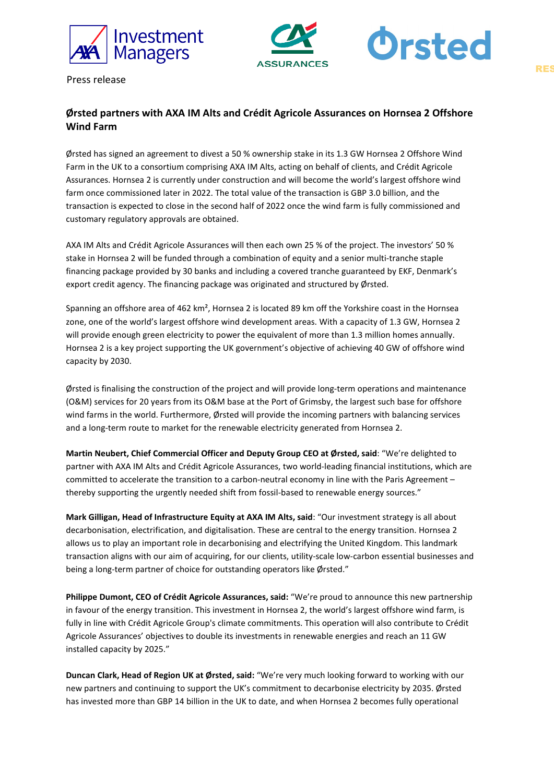



Press release

# **Ørsted partners with AXA IM Alts and Crédit Agricole Assurances on Hornsea 2 Offshore Wind Farm**

Ørsted has signed an agreement to divest a 50 % ownership stake in its 1.3 GW Hornsea 2 Offshore Wind Farm in the UK to a consortium comprising AXA IM Alts, acting on behalf of clients, and Crédit Agricole Assurances. Hornsea 2 is currently under construction and will become the world's largest offshore wind farm once commissioned later in 2022. The total value of the transaction is GBP 3.0 billion, and the transaction is expected to close in the second half of 2022 once the wind farm is fully commissioned and customary regulatory approvals are obtained.

AXA IM Alts and Crédit Agricole Assurances will then each own 25 % of the project. The investors' 50 % stake in Hornsea 2 will be funded through a combination of equity and a senior multi-tranche staple financing package provided by 30 banks and including a covered tranche guaranteed by EKF, Denmark's export credit agency. The financing package was originated and structured by Ørsted.

Spanning an offshore area of 462 km², Hornsea 2 is located 89 km off the Yorkshire coast in the Hornsea zone, one of the world's largest offshore wind development areas. With a capacity of 1.3 GW, Hornsea 2 will provide enough green electricity to power the equivalent of more than 1.3 million homes annually. Hornsea 2 is a key project supporting the UK government's objective of achieving 40 GW of offshore wind capacity by 2030.

Ørsted is finalising the construction of the project and will provide long-term operations and maintenance (O&M) services for 20 years from its O&M base at the Port of Grimsby, the largest such base for offshore wind farms in the world. Furthermore, Ørsted will provide the incoming partners with balancing services and a long-term route to market for the renewable electricity generated from Hornsea 2.

**Martin Neubert, Chief Commercial Officer and Deputy Group CEO at Ørsted, said**: "We're delighted to partner with AXA IM Alts and Crédit Agricole Assurances, two world-leading financial institutions, which are committed to accelerate the transition to a carbon-neutral economy in line with the Paris Agreement – thereby supporting the urgently needed shift from fossil-based to renewable energy sources."

**Mark Gilligan, Head of Infrastructure Equity at AXA IM Alts, said**: "Our investment strategy is all about decarbonisation, electrification, and digitalisation. These are central to the energy transition. Hornsea 2 allows us to play an important role in decarbonising and electrifying the United Kingdom. This landmark transaction aligns with our aim of acquiring, for our clients, utility-scale low-carbon essential businesses and being a long-term partner of choice for outstanding operators like Ørsted."

**Philippe Dumont, CEO of Crédit Agricole Assurances, said:** "We're proud to announce this new partnership in favour of the energy transition. This investment in Hornsea 2, the world's largest offshore wind farm, is fully in line with Crédit Agricole Group's climate commitments. This operation will also contribute to Crédit Agricole Assurances' objectives to double its investments in renewable energies and reach an 11 GW installed capacity by 2025."

**Duncan Clark, Head of Region UK at Ørsted, said:** "We're very much looking forward to working with our new partners and continuing to support the UK's commitment to decarbonise electricity by 2035. Ørsted has invested more than GBP 14 billion in the UK to date, and when Hornsea 2 becomes fully operational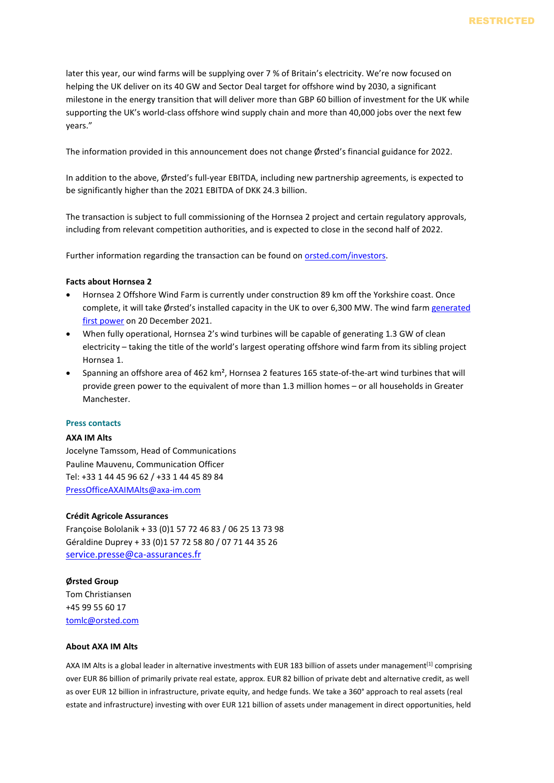later this year, our wind farms will be supplying over 7 % of Britain's electricity. We're now focused on helping the UK deliver on its 40 GW and Sector Deal target for offshore wind by 2030, a significant milestone in the energy transition that will deliver more than GBP 60 billion of investment for the UK while supporting the UK's world-class offshore wind supply chain and more than 40,000 jobs over the next few years."

The information provided in this announcement does not change Ørsted's financial guidance for 2022.

In addition to the above, Ørsted's full-year EBITDA, including new partnership agreements, is expected to be significantly higher than the 2021 EBITDA of DKK 24.3 billion.

The transaction is subject to full commissioning of the Hornsea 2 project and certain regulatory approvals, including from relevant competition authorities, and is expected to close in the second half of 2022.

Further information regarding the transaction can be found o[n orsted.com/investors.](http://www.orsted.com/investors)

## **Facts about Hornsea 2**

- Hornsea 2 Offshore Wind Farm is currently under construction 89 km off the Yorkshire coast. Once complete, it will take Ørsted's installed capacity in the UK to over 6,300 MW. The wind farm generated [first power](https://orsted.com/en/media/newsroom/news/2021/12/20211220460511) on 20 December 2021.
- When fully operational, Hornsea 2's wind turbines will be capable of generating 1.3 GW of clean electricity – taking the title of the world's largest operating offshore wind farm from its sibling project Hornsea 1.
- Spanning an offshore area of 462 km², Hornsea 2 features 165 state-of-the-art wind turbines that will provide green power to the equivalent of more than 1.3 million homes – or all households in Greater Manchester.

## **Press contacts**

## **AXA IM Alts**

Jocelyne Tamssom, Head of Communications Pauline Mauvenu, Communication Officer Tel: +33 1 44 45 96 62 / +33 1 44 45 89 84 [PressOfficeAXAIMAlts@axa-im.com](mailto:PressOfficeAXAIMAlts@axa-im.com)

## **Crédit Agricole Assurances**

Françoise Bololanik + 33 (0)1 57 72 46 83 / 06 25 13 73 98 Géraldine Duprey + 33 (0)1 57 72 58 80 / 07 71 44 35 26 [service.presse@ca-assurances.fr](mailto:service.presse@ca-assurances.fr)

## **Ørsted Group**

Tom Christiansen +45 99 55 60 17 [tomlc@orsted.com](mailto:tomlc@orsted.com)

## **About AXA IM Alts**

AXA IM Alts is a global leader in alternative investments with EUR 183 billion of assets under management<sup>[1]</sup> comprising over EUR 86 billion of primarily private real estate, approx. EUR 82 billion of private debt and alternative credit, as well as over EUR 12 billion in infrastructure, private equity, and hedge funds. We take a 360° approach to real assets (real estate and infrastructure) investing with over EUR 121 billion of assets under management in direct opportunities, held